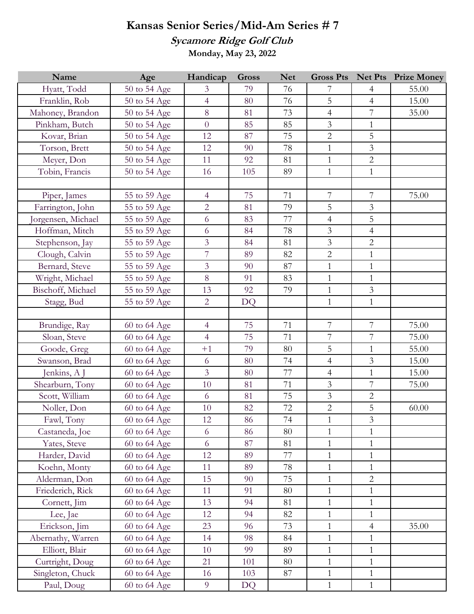## **Kansas Senior Series/Mid-Am Series # 7**

**Sycamore Ridge Golf Club**

**Monday, May 23, 2022**

| Name              | Age          | Handicap       | <b>Gross</b> | <b>Net</b> | <b>Gross Pts</b> |                | <b>Net Pts</b> Prize Money |
|-------------------|--------------|----------------|--------------|------------|------------------|----------------|----------------------------|
| Hyatt, Todd       | 50 to 54 Age | 3              | 79           | 76         | 7                | 4              | 55.00                      |
| Franklin, Rob     | 50 to 54 Age | $\overline{4}$ | 80           | 76         | 5                | $\overline{4}$ | 15.00                      |
| Mahoney, Brandon  | 50 to 54 Age | 8              | 81           | 73         | $\overline{4}$   | $\overline{7}$ | 35.00                      |
| Pinkham, Butch    | 50 to 54 Age | $\overline{0}$ | 85           | 85         | $\mathfrak{Z}$   | $\mathbf{1}$   |                            |
| Kovar, Brian      | 50 to 54 Age | 12             | 87           | 75         | $\overline{2}$   | 5              |                            |
| Torson, Brett     | 50 to 54 Age | 12             | 90           | 78         | $\mathbf{1}$     | $\mathfrak{Z}$ |                            |
| Meyer, Don        | 50 to 54 Age | 11             | 92           | 81         | $\mathbf{1}$     | $\overline{2}$ |                            |
| Tobin, Francis    | 50 to 54 Age | 16             | 105          | 89         | $\mathbf{1}$     | $\mathbf{1}$   |                            |
|                   |              |                |              |            |                  |                |                            |
| Piper, James      | 55 to 59 Age | $\overline{4}$ | 75           | 71         | $\boldsymbol{7}$ | $\overline{7}$ | 75.00                      |
| Farrington, John  | 55 to 59 Age | $\overline{2}$ | 81           | 79         | 5                | $\overline{3}$ |                            |
| orgensen, Michael | 55 to 59 Age | 6              | 83           | 77         | $\overline{4}$   | 5              |                            |
| Hoffman, Mitch    | 55 to 59 Age | 6              | 84           | 78         | $\mathfrak{Z}$   | $\overline{4}$ |                            |
| Stephenson, Jay   | 55 to 59 Age | $\overline{3}$ | 84           | 81         | $\mathfrak{Z}$   | $\overline{2}$ |                            |
| Clough, Calvin    | 55 to 59 Age | $\overline{7}$ | 89           | 82         | $\overline{2}$   | $\mathbf{1}$   |                            |
| Bernard, Steve    | 55 to 59 Age | $\overline{3}$ | 90           | 87         | $\mathbf{1}$     | $\mathbf{1}$   |                            |
| Wright, Michael   | 55 to 59 Age | 8              | 91           | 83         | $\mathbf{1}$     | $\mathbf{1}$   |                            |
| Bischoff, Michael | 55 to 59 Age | 13             | 92           | 79         | $\mathbf{1}$     | $\mathfrak{Z}$ |                            |
| Stagg, Bud        | 55 to 59 Age | $\overline{2}$ | <b>DQ</b>    |            | $\mathbf{1}$     | $\mathbf{1}$   |                            |
|                   |              |                |              |            |                  |                |                            |
| Brundige, Ray     | 60 to 64 Age | $\overline{4}$ | 75           | 71         | $\boldsymbol{7}$ | $\overline{7}$ | 75.00                      |
| Sloan, Steve      | 60 to 64 Age | $\overline{4}$ | 75           | 71         | $\overline{7}$   | $\overline{7}$ | 75.00                      |
| Goode, Greg       | 60 to 64 Age | $+1$           | 79           | 80         | 5                | $\mathbf{1}$   | 55.00                      |
| Swanson, Brad     | 60 to 64 Age | 6              | 80           | 74         | $\overline{4}$   | $\overline{3}$ | 15.00                      |
| Jenkins, A J      | 60 to 64 Age | $\mathfrak{Z}$ | 80           | 77         | $\overline{4}$   | $\mathbf{1}$   | 15.00                      |
| Shearburn, Tony   | 60 to 64 Age | 10             | 81           | 71         | $\mathfrak{Z}$   | $\overline{7}$ | 75.00                      |
| Scott, William    | 60 to 64 Age | 6              | 81           | 75         | $\mathfrak{Z}$   | $\overline{2}$ |                            |
| Noller, Don       | 60 to 64 Age | 10             | 82           | 72         | $\sqrt{2}$       | 5              | 60.00                      |
| Fawl, Tony        | 60 to 64 Age | 12             | 86           | 74         | $\mathbf{1}$     | $\mathfrak{Z}$ |                            |
| Castaneda, Joe    | 60 to 64 Age | 6              | 86           | 80         | $\mathbf{1}$     | $\mathbf{1}$   |                            |
| Yates, Steve      | 60 to 64 Age | 6              | 87           | 81         | $\mathbf{1}$     | $\mathbf{1}$   |                            |
| Harder, David     | 60 to 64 Age | 12             | 89           | 77         | $\mathbf{1}$     | $\mathbf{1}$   |                            |
| Koehn, Monty      | 60 to 64 Age | 11             | 89           | 78         | $\mathbf{1}$     | $\mathbf{1}$   |                            |
| Alderman, Don     | 60 to 64 Age | 15             | 90           | 75         | $\mathbf{1}$     | $\overline{2}$ |                            |
| Friederich, Rick  | 60 to 64 Age | 11             | 91           | 80         | $\mathbf{1}$     | $\mathbf{1}$   |                            |
| Cornett, Jim      | 60 to 64 Age | 13             | 94           | 81         | $\mathbf{1}$     | 1              |                            |
| Lee, Jae          | 60 to 64 Age | 12             | 94           | 82         | $\mathbf{1}$     | $\mathbf{1}$   |                            |
| Erickson, Jim     | 60 to 64 Age | 23             | 96           | 73         | $\mathbf{1}$     | $\overline{4}$ | 35.00                      |
| Abernathy, Warren | 60 to 64 Age | 14             | 98           | 84         | $\mathbf{1}$     | $\mathbf{1}$   |                            |
| Elliott, Blair    | 60 to 64 Age | 10             | 99           | 89         | $\mathbf{1}$     | 1              |                            |
| Curtright, Doug   | 60 to 64 Age | 21             | 101          | 80         | $\mathbf{1}$     | $\mathbf{1}$   |                            |
| Singleton, Chuck  | 60 to 64 Age | 16             | 103          | 87         | $\mathbf{1}$     | $\mathbf{1}$   |                            |
| Paul, Doug        | 60 to 64 Age | $\overline{9}$ | DQ           |            | $\mathbf{1}$     | $\mathbf{1}$   |                            |